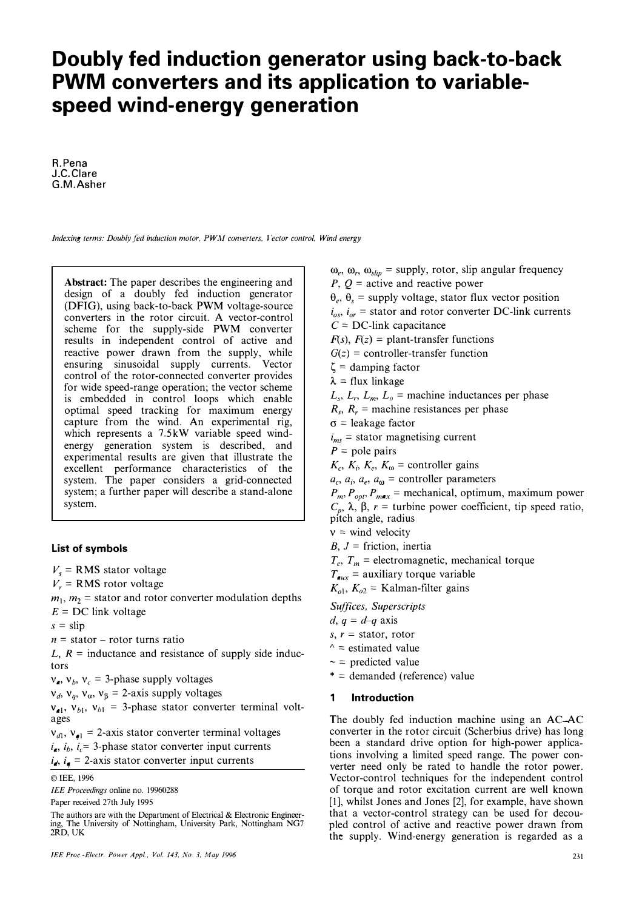# **Doubly fed induction generator using back-to-back PWM converters and its application to variablespeed wind-energy generation**

A.Pena J.C.Clare G.M.Asher

*Indexing terms: Doubly fed induction motor. PWM converters. Vector control, Wind energy* 

**Abstract:** The paper describes the engineering and design of a doubly fed induction generator **(DFIG),** using back-to-back **PWM** voltage-source converters in the rotor circuit. A vector-control scheme for the supply-side **PWM** converter results in independent control of active and reactive power drawn from the supply, while ensuring sinusoidal supply currents. Vector control of the rotor-connected converter provides for wide speed-range operation; the vector scheme is embedded in control loops which enable optimal speed tracking for maximum energy capture from the wind. An experimental rig, which represents a 7.5kW variable speed windenergy generation system is described, and experimental results are given that illustrate the excellent performance characteristics of the system. The paper considers a grid-connected system; a further paper will describe a stand-alone system.

# **List of symbols**

 $V_s$  = RMS stator voltage

 $V_r$  = RMS rotor voltage

 $m_1$ ,  $m_2$  = stator and rotor converter modulation depths

 $E = DC$  link voltage

 $s =$ slip

 $n =$  stator – rotor turns ratio

 $L, R =$  inductance and resistance of supply side inductors

 $v_a$ ,  $v_b$ ,  $v_c = 3$ -phase supply voltages

 $v_d$ ,  $v_a$ ,  $v_a$ ,  $v_B$  = 2-axis supply voltages

 $v_{el}$ ,  $v_{bl}$ ,  $v_{bl}$  = 3-phase stator converter terminal voltages

 $v_{d1}$ ,  $v_{d1}$  = 2-axis stator converter terminal voltages  $i_a$ ,  $i_b$ ,  $i_c$  = 3-phase stator converter input currents  $i_{\bullet}$ ,  $i_{\bullet}$  = 2-axis stator converter input currents

©IEE, 1996

*IEE Proceedings* online no. 19960288 Paper received 27th July 1995

The authors are with the Department of Electrical & Electronic Engineering, The University of Nottingham, University Park, Nottingham NG7 2RD, UK

 $\omega_e$ ,  $\omega_r$ ,  $\omega_{\text{slip}}$  = supply, rotor, slip angular frequency

*P,*  $Q$  *= active and reactive power* 

 $\theta_e$ ,  $\theta_s$  = supply voltage, stator flux vector position

 $i_{os}$ ,  $i_{or}$  = stator and rotor converter DC-link currents

 $C = DC$ -link capacitance

 $F(s)$ ,  $F(z) =$  plant-transfer functions

 $G(z)$  = controller-transfer function

 $\zeta$  = damping factor

 $\lambda$  = flux linkage

 $L_s$ ,  $L_r$ ,  $L_m$ ,  $L_o$  = machine inductances per phase

 $R_s$ ,  $R_r$  = machine resistances per phase

 $\sigma$  = leakage factor

 $i_{ms}$  = stator magnetising current

 $P =$  pole pairs

 $K_c$ ,  $K_i$ ,  $K_e$ ,  $K_\omega$  = controller gains

 $a_c$ ,  $a_i$ ,  $a_e$ ,  $a_\omega$  = controller parameters

 $P_{m}$ ,  $P_{opt}$ ,  $P_{max}$  = mechanical, optimum, maximum power  $C_p$ ,  $\lambda$ ,  $\beta$ ,  $r =$  turbine power coefficient, tip speed ratio, pitch angle, radius

 $v =$  wind velocity

 $B, J$  = friction, inertia

 $T_e$ ,  $T_m$  = electromagnetic, mechanical torque

 $T_{\text{avx}}$  = auxiliary torque variable

 $K_{o1}$ ,  $K_{o2}$  = Kalman-filter gains

*Suffices, Superscripts* 

 $d, q = d-q$  axis

 $s, r =$  stator, rotor

- $\uparrow$  = estimated value
- $\sim$  = predicted value
- $* =$  demanded (reference) value

### **1 Introduction**

The doubly fed induction machine using an AC AC converter in the rotor circuit (Scherbius drive) has long been a standard drive option for high-power applications involving a limited speed range. The power converter need only be rated to handle the rotor power. Vector-control techniques for the independent control of torque and rotor excitation current are well known [1], whilst Jones and Jones [2], for example, have shown that a vector-control strategy can be used for decoupled control of active and reactive power drawn from the supply. Wind-energy generation is regarded as a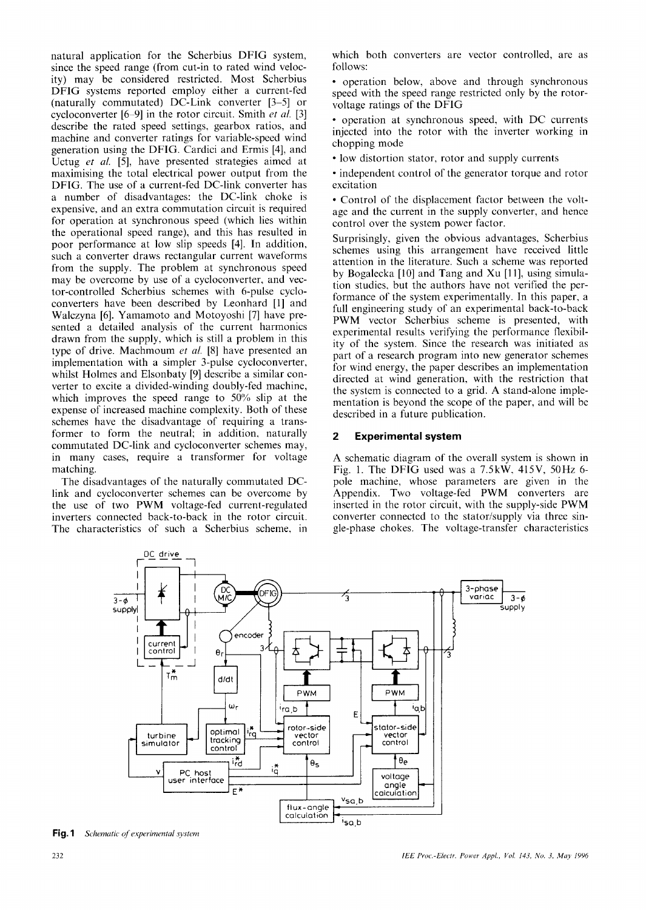natural application for the Scherbius DFIG system, since the speed range (from cut-in to rated wind velocity) may be considered restricted. Most Scherbius DFIG systems reported employ either a current-fed (naturally commutated) DC-Link converter [3-5] or cycloconverter [6-9] in the rotor circuit. Smith et al. [3] describe the rated speed settings, gearbox ratios, and machine and converter ratings for variable-speed wind generation using the DFIG. Cardici and Ermis [4], and Uctug et al. [5], have presented strategies aimed at maximising the total electrical power output from the DFIG. The use of a current-fed DC-link converter has a number of disadvantages: the DC-link choke is expensive, and an extra commutation circuit is required for operation at synchronous speed (which lies within the operational speed range), and this has resulted in poor performance at low slip speeds [4]. In addition, such a converter draws rectangular current waveforms from the supply. The problem at synchronous speed may be overcome by use of a cycloconverter, and vector-controlled Scherbius schemes with 6-pulse cycloconverters have been described by Leonhard [1] and Walczyna [6]. Yamamoto and Motoyoshi [7] have presented a detailed analysis of the current harmonics drawn from the supply, which is still a problem in this type of drive. Machmoum et al. [8] have presented an implementation with a simpler 3-pulse cycloconverter, whilst Holmes and Elsonbaty [9] describe a similar converter to excite a divided-winding doubly-fed machine, which improves the speed range to  $50\%$  slip at the expense of increased machine complexity. Both of these schemes have the disadvantage of requiring a transformer to form the neutral; in addition, naturally commutated DC-link and cycloconverter schemes may, in many cases, require a transformer for voltage matching.

The disadvantages of the naturally commutated DClink and cycloconverter schemes can be overcome by the use of two PWM voltage-fed current-regulated inverters connected back-to-back in the rotor circuit. The characteristics of such a Scherbius scheme, in

which both converters are vector controlled, are as follows:

• operation below, above and through synchronous speed with the speed range restricted only by the rotorvoltage ratings of the DFIG

• operation at synchronous speed, with DC currents injected into the rotor with the inverter working in chopping mode

• low distortion stator, rotor and supply currents

• independent control of the generator torque and rotor excitation

• Control of the displacement factor between the voltage and the current in the supply converter, and hence control over the system power factor.

Surprisingly, given the obvious advantages, Scherbius schemes using this arrangement have received little attention in the literature. Such a scheme was reported by Bogalecka [10] and Tang and Xu [11], using simulation studies, but the authors have not verified the performance of the system experimentally. In this paper, a full engineering study of an experimental back-to-back PWM vector Scherbius scheme is presented, with experimental results verifying the performance flexibility of the system. Since the research was initiated as part of a research program into new generator schemes for wind energy, the paper describes an implementation directed at wind generation, with the restriction that the system is connected to a grid. A stand-alone implementation is beyond the scope of the paper, and will be described in a future publication.

#### $\overline{2}$ **Experimental system**

A schematic diagram of the overall system is shown in Fig. 1. The DFIG used was a 7.5kW, 415V, 50Hz 6pole machine, whose parameters are given in the Appendix. Two voltage-fed PWM converters are inserted in the rotor circuit, with the supply-side PWM converter connected to the stator/supply via three single-phase chokes. The voltage-transfer characteristics



Fig. 1 Schematic of experimental system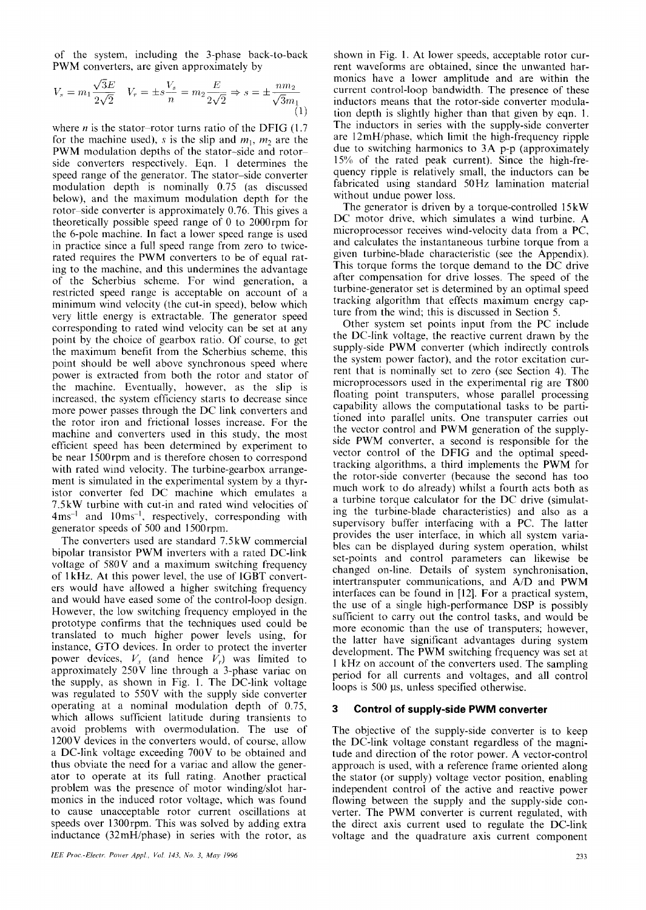of the system, including the 3-phase back-to-back PWM converters, are given approximately by

$$
V_s = m_1 \frac{\sqrt{3}E}{2\sqrt{2}} \quad V_r = \pm s \frac{V_s}{n} = m_2 \frac{E}{2\sqrt{2}} \Rightarrow s = \pm \frac{n m_2}{\sqrt{3}m_1}
$$
(1)

where *n* is the stator-rotor turns ratio of the DFIG  $(1.7)$ for the machine used), s is the slip and  $m_1$ ,  $m_2$  are the PWM modulation depths of the stator-side and rotorside converters respectively. Eqn. 1 determines the speed range of the generator. The stator-side converter modulation depth is nominally 0.75 (as discussed below), and the maximum modulation depth for the rotor-side converter is approximately 0.76. This gives a theoretically possible speed range of 0 to 2000rpm for the 6-pole machine. In fact a lower speed range is used in practice since a full speed range from zero to twicerated requires the PWM converters to be of equal rating to the machine, and this undermines the advantage of the Scherbius scheme. For wind generation, a restricted speed range is acceptable on account of a minimum wind velocity (the cut-in speed), below which very little energy is extractable. The generator speed corresponding to rated wind velocity can be set at any point by the choice of gearbox ratio. Of course, to get the maximum benefit from the Scherbius scheme, this point should be well above synchronous speed where power is extracted from both the rotor and stator of the machine. Eventually, however, as the slip is increased, the system efficiency starts to decrease since more power passes through the DC link converters and the rotor iron and frictional losses increase. For the machine and converters used in this study, the most efficient speed has been determined by experiment to be near 1500 rpm and is therefore chosen to correspond with rated wind velocity. The turbine-gearbox arrangement is simulated in the experimental system by a thyristor converter fed DC machine which emulates a 7.5kW turbine with cut-in and rated wind velocities of 4ms<sup>-1</sup> and 10ms<sup>-1</sup>, respectively, corresponding with generator speeds of 500 and 1500rpm.

The converters used are standard 7.5kW commercial bipolar transistor PWM inverters with a rated DC-link voltage of 580V and a maximum switching frequency of 1kHz. At this power level, the use of IGBT converters would have allowed a higher switching frequency and would have eased some of the control-loop design. However, the low switching frequency employed in the prototype confirms that the techniques used could be translated to much higher power levels using, for instance, GTO devices. In order to protect the inverter power devices,  $V_s$  (and hence  $V_r$ ) was limited to approximately  $250V$  line through a 3-phase variac on the supply, as shown in Fig. 1. The DC-link voltage was regulated to 550V with the supply side converter operating at a nominal modulation depth of 0.75, which allows sufficient latitude during transients to avoid problems with overmodulation. The use of 1200V devices in the converters would, of course, allow a DC-link voltage exceeding 700V to be obtained and thus obviate the need for a variac and allow the generator to operate at its full rating. Another practical problem was the presence of motor winding/slot harmonics in the induced rotor voltage, which was found to cause unacceptable rotor current oscillations at speeds over 1300rpm. This was solved by adding extra inductance (32mH/phase) in series with the rotor, as

shown in Fig. 1. At lower speeds, acceptable rotor current waveforms are obtained, since the unwanted harmonics have a lower amplitude and are within the current control-loop bandwidth. The presence of these inductors means that the rotor-side converter modulation depth is slightly higher than that given by eqn. 1. The inductors in series with the supply-side converter are 12mH/phase, which limit the high-frequency ripple due to switching harmonics to 3A p-p (approximately 15% of the rated peak current). Since the high-frequency ripple is relatively small, the inductors can be fabricated using standard 50Hz lamination material without undue power loss.

The generator is driven by a torque-controlled 15kW DC motor drive, which simulates a wind turbine. A microprocessor receives wind-velocity data from a PC, and calculates the instantaneous turbine torque from a given turbine-blade characteristic (see the Appendix). This torque forms the torque demand to the DC drive after compensation for drive losses. The speed of the turbine-generator set is determined by an optimal speed tracking algorithm that effects maximum energy capture from the wind; this is discussed in Section 5.

Other system set points input from the PC include the DC-link voltage, the reactive current drawn by the supply-side PWM converter (which indirectly controls the system power factor), and the rotor excitation current that is nominally set to zero (see Section 4). The microprocessors used in the experimental rig are T800 floating point transputers, whose parallel processing capability allows the computational tasks to be partitioned into parallel units. One transputer carries out the vector control and PWM generation of the supplyside PWM converter, a second is responsible for the vector control of the DFIG and the optimal speedtracking algorithms, a third implements the PWM for the rotor-side converter (because the second has too much work to do already) whilst a fourth acts both as a turbine torque calculator for the DC drive (simulating the turbine-blade characteristics) and also as a supervisory buffer interfacing with a PC. The latter provides the user interface, in which all system variables can be displayed during system operation, whilst set-points and control parameters can likewise be changed on-line. Details of system synchronisation, intertransputer communications, and A/D and PWM interfaces can be found in [12]. For a practical system, the use of a single high-performance DSP is possibly sufficient to carry out the control tasks, and would be more economic than the use of transputers; however, the latter have significant advantages during system development. The PWM switching frequency was set at 1 kHz on account of the converters used. The sampling period for all currents and voltages, and all control loops is 500 µs, unless specified otherwise.

#### 3 **Control of supply-side PWM converter**

The objective of the supply-side converter is to keep the DC-link voltage constant regardless of the magnitude and direction of the rotor power. A vector-control approach is used, with a reference frame oriented along the stator (or supply) voltage vector position, enabling independent control of the active and reactive power flowing between the supply and the supply-side converter. The PWM converter is current regulated, with the direct axis current used to regulate the DC-link voltage and the quadrature axis current component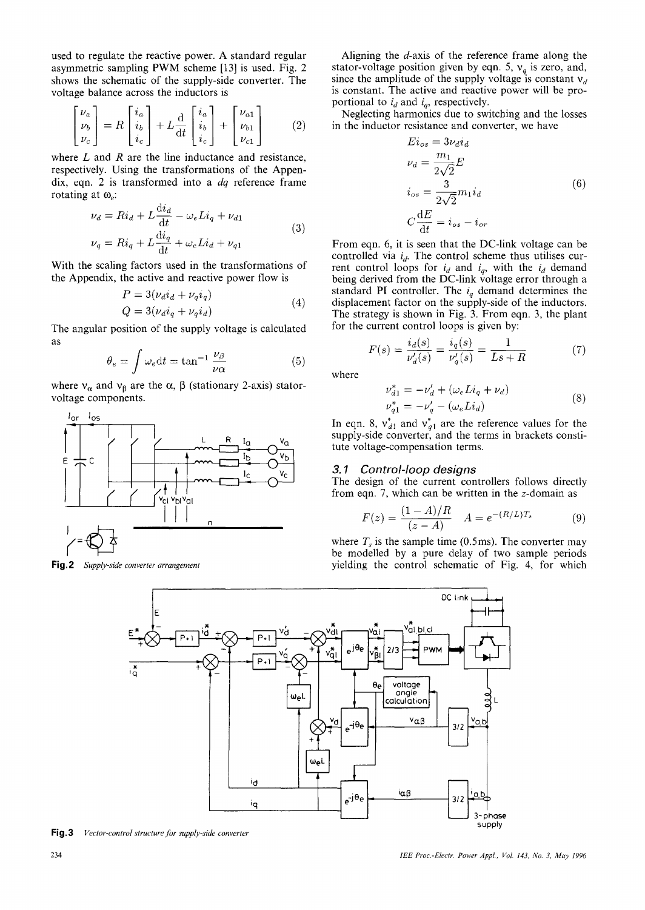used to regulate the reactive power. A standard regular asymmetric sampling PWM scheme [13] is used. Fig. 2 shows the schematic of the supply-side converter. The voltage balance across the inductors is

$$
\begin{bmatrix} \nu_a \\ \nu_b \\ \nu_c \end{bmatrix} = R \begin{bmatrix} i_a \\ i_b \\ i_c \end{bmatrix} + L \frac{d}{dt} \begin{bmatrix} i_a \\ i_b \\ i_c \end{bmatrix} + \begin{bmatrix} \nu_{a1} \\ \nu_{b1} \\ \nu_{c1} \end{bmatrix}
$$
 (2)

where  $L$  and  $R$  are the line inductance and resistance, respectively. Using the transformations of the Appendix, eqn. 2 is transformed into a  $dq$  reference frame rotating at  $\omega_e$ .

$$
\nu_d = Ri_d + L \frac{di_d}{dt} - \omega_e Li_q + \nu_{d1}
$$
  

$$
\nu_q = Ri_q + L \frac{di_q}{dt} + \omega_e Li_d + \nu_{q1}
$$
 (3)

With the scaling factors used in the transformations of the Appendix, the active and reactive power flow is

$$
P = 3(\nu_d i_d + \nu_q i_q)
$$
  
\n
$$
Q = 3(\nu_d i_q + \nu_q i_d)
$$
\n(4)

The angular position of the supply voltage is calculated as

$$
\theta_e = \int \omega_e dt = \tan^{-1} \frac{\nu_\beta}{\nu \alpha} \tag{5}
$$

where  $v_{\alpha}$  and  $v_{\beta}$  are the  $\alpha$ ,  $\beta$  (stationary 2-axis) statorvoltage components.



Fig.2 Supply-side converter arrangement

Aligning the d-axis of the reference frame along the stator-voltage position given by eqn. 5,  $v_q$  is zero, and, since the amplitude of the supply voltage is constant  $v_d$ is constant. The active and reactive power will be proportional to  $i_d$  and  $i_g$ , respectively.

Neglecting harmonics due to switching and the losses in the inductor resistance and converter, we have

$$
E i_{os} = 3\nu_d i_d
$$
  
\n
$$
\nu_d = \frac{m_1}{2\sqrt{2}} E
$$
  
\n
$$
i_{os} = \frac{3}{2\sqrt{2}} m_1 i_d
$$
  
\n
$$
C \frac{dE}{dt} = i_{os} - i_{or}
$$
\n(6)

From eqn. 6, it is seen that the DC-link voltage can be controlled via  $i_d$ . The control scheme thus utilises curcontrolled Va  $i_d$ . The control selective thus attinses can<br>rent control loops for  $i_d$  and  $i_q$ , with the  $i_d$  demand<br>being derived from the DC-link voltage error through a<br>standard PI controller. The  $i_q$  demand determi The strategy is shown in Fig. 3. From eqn. 3, the plant for the current control loops is given by:

$$
F(s) = \frac{i_d(s)}{\nu_d'(s)} = \frac{i_q(s)}{\nu_q'(s)} = \frac{1}{Ls + R} \tag{7}
$$

where

$$
\nu_{d1}^{*} = -\nu_{d}^{\prime} + (\omega_{e} Li_{q} + \nu_{d}) \n\nu_{q1}^{*} = -\nu_{q}^{\prime} - (\omega_{e} Li_{d})
$$
\n(8)

In eqn. 8,  $v_{d1}^*$  and  $v_{q1}^*$  are the reference values for the supply-side converter, and the terms in brackets constitute voltage-compensation terms.

#### $3.1$ Control-loop designs

The design of the current controllers follows directly from eqn. 7, which can be written in the  $z$ -domain as

$$
F(z) = \frac{(1 - A)/R}{(z - A)} \quad A = e^{-(R/L)T_s} \tag{9}
$$

where  $T_s$  is the sample time (0.5ms). The converter may be modelled by a pure delay of two sample periods yielding the control schematic of Fig. 4, for which



Fig.3 Vector-control structure for supply-side converter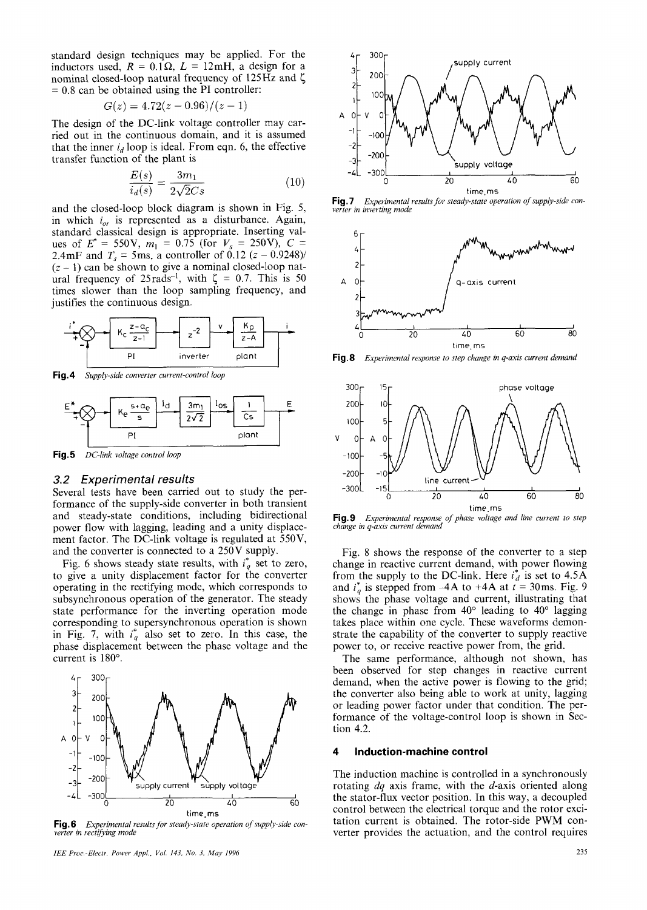standard design techniques may be applied. For the inductors used,  $R = 0.1 \Omega$ ,  $L = 12$ mH, a design for a nominal closed-loop natural frequency of  $125\text{Hz}$  and  $\zeta$  $= 0.8$  can be obtained using the PI controller:

$$
G(z) = 4.72(z - 0.96)/(z - 1)
$$

The design of the DC-link voltage controller may carried out in the continuous domain, and it is assumed that the inner  $i_d$  loop is ideal. From eqn. 6, the effective transfer function of the plant is

$$
\frac{E(s)}{i_d(s)} = \frac{3m_1}{2\sqrt{2}Cs} \tag{10}
$$

and the closed-loop block diagram is shown in Fig. 5, in which  $i_{\alpha r}$  is represented as a disturbance. Again, standard classical design is appropriate. Inserting values of  $E^* = 550V$ ,  $m_1 = 0.75$  (for  $V_s = 250V$ ),  $C = 2.4 \text{mF}$  and  $T_s = 5 \text{ms}$ , a controller of 0.12 (z - 0.9248)/  $(z - 1)$  can be shown to give a nominal closed-loop nat-<br>ural frequency of 25rads<sup>-1</sup>, with  $\zeta = 0.7$ . This is 50 times slower than the loop sampling frequency, and justifies the continuous design.



Fig.4 Supply-side converter current-control loop



Fig.5 DC-link voltage control loop

# 3.2 Experimental results

Several tests have been carried out to study the performance of the supply-side converter in both transient and steady-state conditions, including bidirectional power flow with lagging, leading and a unity displacement factor. The DC-link voltage is regulated at 550V, and the converter is connected to a 250V supply.

Fig. 6 shows steady state results, with  $i_q^*$  set to zero, to give a unity displacement factor for the converter operating in the rectifying mode, which corresponds to subsynchronous operation of the generator. The steady state performance for the inverting operation mode corresponding to supersynchronous operation is shown in Fig. 7, with  $i_q^*$  also set to zero. In this case, the phase displacement between the phase voltage and the current is 180°.



Fig.6 Experimental results for steady-state operation of supply-side converter in rectifying mode



Fig.7 Experimental results for steady-state operation of supply-side converter in inverting mode



Experimental response to step change in q-axis current demand Fig.8



Fig.9 Experimental response of phase voltage and line current to step change in q-axis current demand

Fig. 8 shows the response of the converter to a step change in reactive current demand, with power flowing from the supply to the DC-link. Here  $i_d^*$  is set to 4.5A and  $i_a^*$  is stepped from -4A to +4A at  $i = 30$ ms. Fig. 9 shows the phase voltage and current, illustrating that the change in phase from  $40^{\circ}$  leading to  $40^{\circ}$  lagging takes place within one cycle. These waveforms demonstrate the capability of the converter to supply reactive power to, or receive reactive power from, the grid.

The same performance, although not shown, has been observed for step changes in reactive current demand, when the active power is flowing to the grid; the converter also being able to work at unity, lagging or leading power factor under that condition. The performance of the voltage-control loop is shown in Section 4.2.

#### 4 Induction-machine control

The induction machine is controlled in a synchronously rotating  $dq$  axis frame, with the  $d$ -axis oriented along the stator-flux vector position. In this way, a decoupled control between the electrical torque and the rotor excitation current is obtained. The rotor-side PWM converter provides the actuation, and the control requires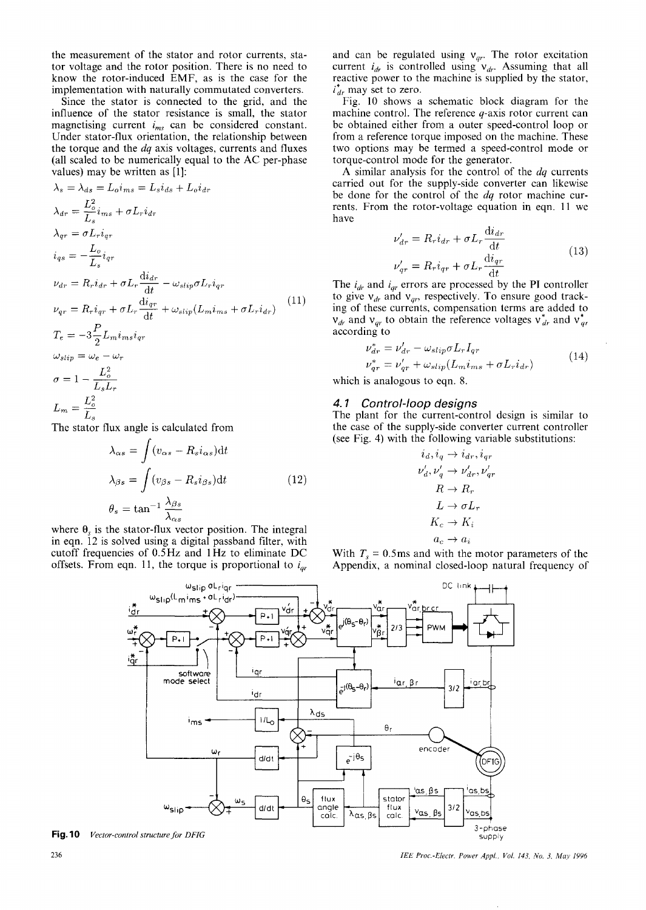the measurement of the stator and rotor currents, stator voltage and the rotor position. There is no need to know the rotor-induced EMF, as is the case for the implementation with naturally commutated converters.

Since the stator is connected to the grid, and the influence of the stator resistance is small, the stator magnetising current  $i_{ms}$  can be considered constant. Under stator-flux orientation, the relationship between the torque and the *dq* axis voltages, currents and fluxes (all scaled to be numerically equal to the AC per-phase values) may be written as [1]:

$$
\lambda_s = \lambda_{ds} = L_o i_{ms} = L_s i_{ds} + L_o i_{dr}
$$
\n
$$
\lambda_{dr} = \frac{L_o^2}{L_s} i_{ms} + \sigma L_r i_{dr}
$$
\n
$$
\lambda_{qr} = \sigma L_r i_{qr}
$$
\n
$$
i_{qs} = -\frac{L_o}{L_s} i_{qr}
$$
\n
$$
\nu_{dr} = R_r i_{dr} + \sigma L_r \frac{di_{dr}}{dt} - \omega_{slip} \sigma L_r i_{qr}
$$
\n
$$
\nu_{qr} = R_r i_{qr} + \sigma L_r \frac{di_{qr}}{dt} + \omega_{slip} (L_m i_{ms} + \sigma L_r i_{dr})
$$
\n
$$
T_e = -3\frac{P}{2} L_m i_{ms} i_{qr}
$$
\n
$$
\omega_{slip} = \omega_e - \omega_r
$$
\n
$$
\sigma = 1 - \frac{L_o^2}{L_s L_r}
$$
\n
$$
L_m = \frac{L_o^2}{L_s}
$$

The stator flux angle is calculated from

$$
\lambda_{\alpha s} = \int (v_{\alpha s} - R_s i_{\alpha s}) dt
$$
  

$$
\lambda_{\beta s} = \int (v_{\beta s} - R_s i_{\beta s}) dt
$$
  

$$
\theta_s = \tan^{-1} \frac{\lambda_{\beta s}}{\lambda_{\beta s}}
$$
 (12)

where  $\theta_{s}$  is the stator-flux vector position. The integral in eqn. 12 is solved using a digital passband filter, with cutoff frequencies of 0.5Hz and 1Hz to eliminate DC offsets. From eqn. 11, the torque is proportional to  $i_{ar}$ 

and can be regulated using  $v_{qr}$ . The rotor excitation current  $i_{dr}$  is controlled using  $v_{dr}$ . Assuming that all reactive power to the machine is supplied by the stator,  $i_{dr}^*$  may set to zero.

Fig. 10 shows a schematic block diagram for the machine control. The reference  $q$ -axis rotor current can be obtained either from a outer speed-control loop or from a reference torque imposed on the machine. These two options may be termed a speed-control mode or torque-control mode for the generator.

A similar analysis for the control of the  $dq$  currents carried out for the supply-side converter can likewise be done for the control of the  $dq$  rotor machine currents. From the rotor-voltage equation in eqn. 11 we have

$$
\nu'_{dr} = R_r i_{dr} + \sigma L_r \frac{di_{dr}}{dt}
$$
  

$$
\nu'_{qr} = R_r i_{qr} + \sigma L_r \frac{di_{qr}}{dt}
$$
 (13)

The  $i_{dr}$  and  $i_{qr}$  errors are processed by the PI controller to give  $v_{dr}$  and  $v_{dr}$ , respectively. To ensure good tracking of these currents, compensation terms are added to  $v_{dr}$  and  $v_{qr}$  to obtain the reference voltages  $v_{dr}^{*}$  and  $v_{qr}^{*}$ according to

$$
\nu_{dr}^* = \nu_{dr}^{\prime} - \omega_{slip} \sigma L_r I_{qr}
$$
  
\n
$$
\nu_{qr}^* = \nu_{qr}^{\prime} + \omega_{slip} (L_m i_{ms} + \sigma L_r i_{dr})
$$
\n(14)

which is analogous to eqn. 8.

### 4.1 Control-loop designs

The plant for the current-control design is similar to the case of the supply-side converter current controller (see Fig. 4) with the following variable substitutions:

$$
i_d, i_q \rightarrow i_{dr}, i_{qr}
$$
  
\n
$$
\nu'_d, \nu'_q \rightarrow \nu'_{dr}, \nu'_{qr}
$$
  
\n
$$
R \rightarrow R_r
$$
  
\n
$$
L \rightarrow \sigma L_r
$$
  
\n
$$
K_c \rightarrow K_i
$$
  
\n
$$
a_c \rightarrow a_i
$$

With  $T_s = 0.5$ ms and with the motor parameters of the Appendix, a nominal closed-loop natural frequency of



**Fig. 10** Vector-control structure for DFIG

IEE Proc.-Electr. Power Appl., Vol. 143, No. 3, May 1996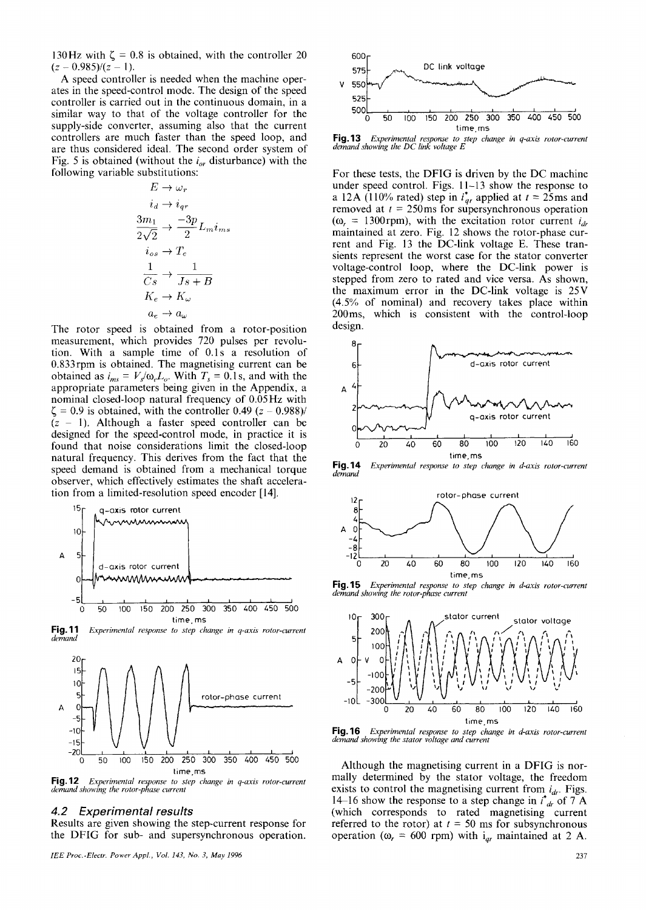130Hz with  $\zeta = 0.8$  is obtained, with the controller 20  $(z - 0.985)/(z - 1).$ 

A speed controller is needed when the machine operates in the speed-control mode. The design of the speed controller is carried out in the continuous domain, in a similar way to that of the voltage controller for the supply-side converter, assuming also that the current controllers are much faster than the speed loop, and are thus considered ideal. The second order system of Fig. 5 is obtained (without the  $i_{\alpha r}$  disturbance) with the following variable substitutions:

$$
E \rightarrow \omega_r
$$
  
\n
$$
i_d \rightarrow i_{qr}
$$
  
\n
$$
\frac{3m_1}{2\sqrt{2}} \rightarrow \frac{-3p}{2} L_m i_{ms}
$$
  
\n
$$
i_{os} \rightarrow T_e
$$
  
\n
$$
\frac{1}{Cs} \rightarrow \frac{1}{Js + B}
$$
  
\n
$$
K_e \rightarrow K_\omega
$$
  
\n
$$
a_e \rightarrow a_\omega
$$

The rotor speed is obtained from a rotor-position measurement, which provides 720 pulses per revolution. With a sample time of 0.1s a resolution of 0.833rpm is obtained. The magnetising current can be obtained as  $i_{ms} = V_s/\omega_e L_o$ . With  $T_s = 0.1$  s, and with the appropriate parameters being given in the Appendix, a nominal closed-loop natural frequency of 0.05Hz with  $\zeta$  = 0.9 is obtained, with the controller 0.49 (z – 0.988)/  $(z - 1)$ . Although a faster speed controller can be designed for the speed-control mode, in practice it is found that noise considerations limit the closed-loop natural frequency. This derives from the fact that the speed demand is obtained from a mechanical torque observer, which effectively estimates the shaft acceleration from a limited-resolution speed encoder [14].



**Fig.11** Experimental response to step change in q-axis rotor-current demand



Fig. 12 Experimental response to step change in q-axis rotor-current demand showing the rotor-phase current

# 4.2 Experimental results

Results are given showing the step-current response for the DFIG for sub- and supersynchronous operation.



Fig. 13 Experimental response to step change in q-axis rotor-current demand showing the DC link voltage E

For these tests, the DFIG is driven by the DC machine under speed control. Figs. 11–13 show the response to a 12A (110% rated) step in  $i_{qr}^*$  applied at  $t = 25$ ms and removed at  $t = 250$ ms for supersynchronous operation  $(\omega_r = 1300$ rpm), with the excitation rotor current  $i_{dr}$ maintained at zero. Fig. 12 shows the rotor-phase current and Fig. 13 the DC-link voltage E. These transients represent the worst case for the stator converter voltage-control loop, where the DC-link power is stepped from zero to rated and vice versa. As shown, the maximum error in the DC-link voltage is 25V (4.5% of nominal) and recovery takes place within 200ms, which is consistent with the control-loop design.



**Fig. 14** Experimental response to step change in d-axis rotor-current demana



Fig. 15 Experimental response to step change in d-axis rotor-current demand showing the rotor-phase current



Fig. 16 Experimental response to step change in d-axis rotor-current demand showing the stator voltage and current

Although the magnetising current in a DFIG is normally determined by the stator voltage, the freedom exists to control the magnetising current from  $i_{dr}$ . Figs. 14–16 show the response to a step change in  $i^*_{dr}$  of 7 A (which corresponds to rated magnetising current referred to the rotor) at  $t = 50$  ms for subsynchronous operation ( $\omega_r$  = 600 rpm) with  $i_{qr}$  maintained at 2 A.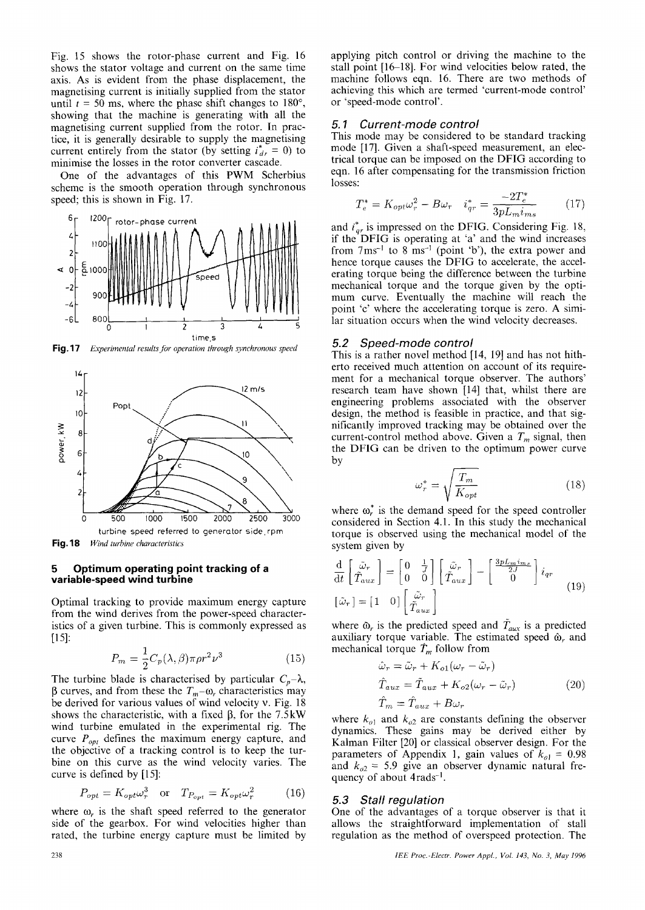Fig. 15 shows the rotor-phase current and Fig. 16 shows the stator voltage and current on the same time axis. As is evident from the phase displacement, the magnetising current is initially supplied from the stator until  $t = 50$  ms, where the phase shift changes to 180°, showing that the machine is generating with all the magnetising current supplied from the rotor. In practice, it is generally desirable to supply the magnetising current entirely from the stator (by setting  $i_{dr}^* = 0$ ) to minimise the losses in the rotor converter cascade.

One of the advantages of this PWM Scherbius scheme is the smooth operation through synchronous speed; this is shown in Fig. 17.



**Fig. 17** Experimental results for operation through synchronous speed



Fig. 18 Wind turbine characteristics

#### 5 Optimum operating point tracking of a variable-speed wind turbine

Optimal tracking to provide maximum energy capture from the wind derives from the power-speed characteristics of a given turbine. This is commonly expressed as  $[15]$ :

$$
P_m = \frac{1}{2} C_p(\lambda, \beta) \pi \rho r^2 \nu^3 \tag{15}
$$

The turbine blade is characterised by particular  $C_p - \lambda$ ,  $\beta$  curves, and from these the  $T_m$ – $\omega$ , characteristics may be derived for various values of wind velocity v. Fig. 18 shows the characteristic, with a fixed  $\beta$ , for the 7.5kW wind turbine emulated in the experimental rig. The curve  $P_{opt}$  defines the maximum energy capture, and the objective of a tracking control is to keep the turbine on this curve as the wind velocity varies. The curve is defined by [15]:

$$
P_{opt} = K_{opt} \omega_r^3 \quad \text{or} \quad T_{P_{opt}} = K_{opt} \omega_r^2 \tag{16}
$$

where  $\omega_r$  is the shaft speed referred to the generator side of the gearbox. For wind velocities higher than rated, the turbine energy capture must be limited by applying pitch control or driving the machine to the stall point [16-18]. For wind velocities below rated, the machine follows eqn. 16. There are two methods of achieving this which are termed 'current-mode control' or 'speed-mode control'.

#### Current-mode control  $5.1$

This mode may be considered to be standard tracking mode [17]. Given a shaft-speed measurement, an electrical torque can be imposed on the DFIG according to eqn. 16 after compensating for the transmission friction losses:

$$
T_e^* = K_{opt} \omega_r^2 - B \omega_r \quad i_{qr}^* = \frac{-2T_e^*}{3pL_m i_{ms}} \tag{17}
$$

and  $i_{qr}^*$  is impressed on the DFIG. Considering Fig. 18, if the DFIG is operating at 'a' and the wind increases from  $7 \text{ ms}^{-1}$  to  $8 \text{ ms}^{-1}$  (point 'b'), the extra power and hence torque causes the DFIG to accelerate, the accelerating torque being the difference between the turbine mechanical torque and the torque given by the optimum curve. Eventually the machine will reach the point 'c' where the accelerating torque is zero. A similar situation occurs when the wind velocity decreases.

#### Speed-mode control  $5.2$

This is a rather novel method [14, 19] and has not hitherto received much attention on account of its requirement for a mechanical torque observer. The authors' research team have shown [14] that, whilst there are engineering problems associated with the observer design, the method is feasible in practice, and that significantly improved tracking may be obtained over the current-control method above. Given a  $T_m$  signal, then the DFIG can be driven to the optimum power curve by

$$
\omega_r^* = \sqrt{\frac{T_m}{K_{opt}}} \tag{18}
$$

where  $\omega_r^*$  is the demand speed for the speed controller considered in Section 4.1. In this study the mechanical torque is observed using the mechanical model of the system given by

$$
\frac{\mathrm{d}}{\mathrm{d}t} \begin{bmatrix} \tilde{\omega}_r \\ \tilde{T}_{aux} \end{bmatrix} = \begin{bmatrix} 0 & \frac{1}{J} \\ 0 & 0 \end{bmatrix} \begin{bmatrix} \tilde{\omega}_r \\ \tilde{T}_{aux} \end{bmatrix} - \begin{bmatrix} \frac{3pL_mim_s}{2J} \\ 0 \end{bmatrix} i_{qr}
$$
\n
$$
[\tilde{\omega}_r] = \begin{bmatrix} 1 & 0 \end{bmatrix} \begin{bmatrix} \tilde{\omega}_r \\ \tilde{T}_{aux} \end{bmatrix}
$$
\n(19)

where  $\tilde{\omega}_r$  is the predicted speed and  $\tilde{T}_{aux}$  is a predicted auxiliary torque variable. The estimated speed  $\hat{\omega}_r$  and mechanical torque  $\hat{T}_m$  follow from

$$
\hat{\omega}_r = \tilde{\omega}_r + K_{o1}(\omega_r - \tilde{\omega}_r)
$$
  
\n
$$
\hat{T}_{aux} = \tilde{T}_{aux} + K_{o2}(\omega_r - \tilde{\omega}_r)
$$
  
\n
$$
\hat{T}_m = \hat{T}_{aux} + B\omega_r
$$
\n(20)

where  $k_{o1}$  and  $k_{o2}$  are constants defining the observer dynamics. These gains may be derived either by Kalman Filter [20] or classical observer design. For the parameters of Appendix 1, gain values of  $k_{ol} = 0.98$ and  $k_{02} = 5.9$  give an observer dynamic natural frequency of about 4rads<sup>-1</sup>.

### 5.3 Stall regulation

One of the advantages of a torque observer is that it allows the straightforward implementation of stall regulation as the method of overspeed protection. The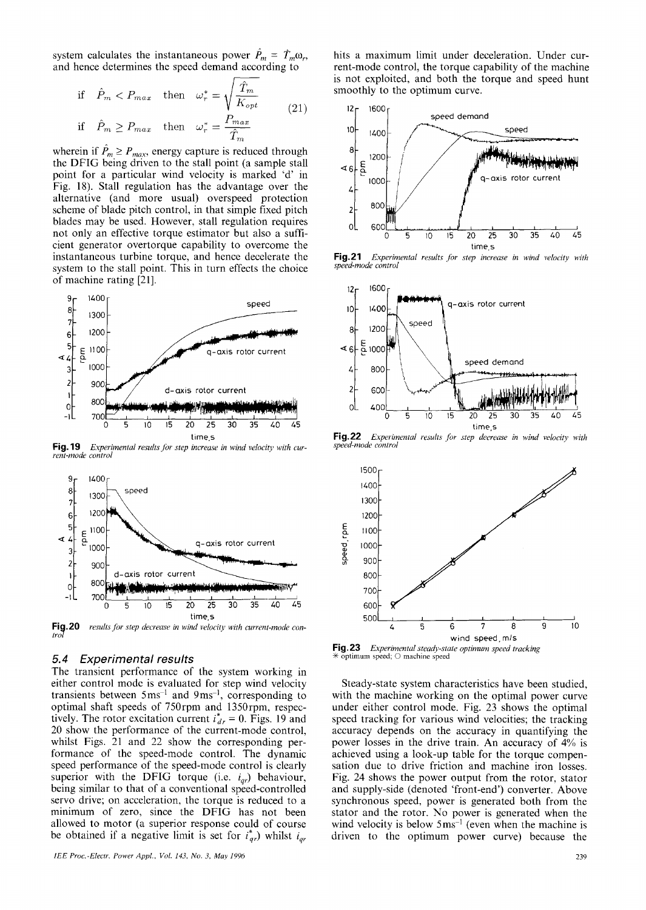system calculates the instantaneous power  $P_m = \hat{T}_m \omega_r$ , and hence determines the speed demand according to

if 
$$
\hat{P}_m < P_{max}
$$
 then  $\omega_r^* = \sqrt{\frac{\hat{T}_m}{K_{opt}}}$   
\nif  $\hat{P}_m \ge P_{max}$  then  $\omega_r^* = \frac{P_{max}}{\hat{T}_m}$  (21)

wherein if  $\hat{P}_m \ge P_{max}$ , energy capture is reduced through<br>the DFIG being driven to the stall point (a sample stall point for a particular wind velocity is marked 'd' in Fig. 18). Stall regulation has the advantage over the alternative (and more usual) overspeed protection scheme of blade pitch control, in that simple fixed pitch blades may be used. However, stall regulation requires not only an effective torque estimator but also a sufficient generator overtorque capability to overcome the instantaneous turbine torque, and hence decelerate the system to the stall point. This in turn effects the choice of machine rating [21].



**Fig. 19** Experimental results for step increase in wind velocity with current-mode control



**Fig.20** results for step decrease in wind velocity with current-mode con-

#### $5.4$ **Experimental results**

The transient performance of the system working in either control mode is evaluated for step wind velocity transients between  $5 \text{ms}^{-1}$  and  $9 \text{ms}^{-1}$ , corresponding to optimal shaft speeds of 750rpm and 1350rpm, respectively. The rotor excitation current  $i_{dr}^* = 0$ . Figs. 19 and 20 show the performance of the current-mode control, whilst Figs. 21 and 22 show the corresponding performance of the speed-mode control. The dynamic speed performance of the speed-mode control is clearly superior with the DFIG torque (i.e.  $i_{qr}$ ) behaviour, being similar to that of a conventional speed-controlled servo drive; on acceleration, the torque is reduced to a minimum of zero, since the DFIG has not been allowed to motor (a superior response could of course be obtained if a negative limit is set for  $i_{qr}^*$ ) whilst  $i_{qr}$ 

hits a maximum limit under deceleration. Under current-mode control, the torque capability of the machine is not exploited, and both the torque and speed hunt smoothly to the optimum curve.



**Fig.21** Experimental results for step increase in wind velocity with speed-mode control



**Fig. 22** Experimental results for step decrease in wind velocity with speed-mode control



Fig. 23 Experimental steady-state optimum speed tracking  $\overline{\text{optimum}}$  speed;  $\bigcirc$  machine speed

Steady-state system characteristics have been studied, with the machine working on the optimal power curve under either control mode. Fig. 23 shows the optimal speed tracking for various wind velocities; the tracking accuracy depends on the accuracy in quantifying the power losses in the drive train. An accuracy of  $4\%$  is achieved using a look-up table for the torque compensation due to drive friction and machine iron losses. Fig. 24 shows the power output from the rotor, stator and supply-side (denoted 'front-end') converter. Above synchronous speed, power is generated both from the stator and the rotor. No power is generated when the wind velocity is below  $5 \text{ ms}^{-1}$  (even when the machine is driven to the optimum power curve) because the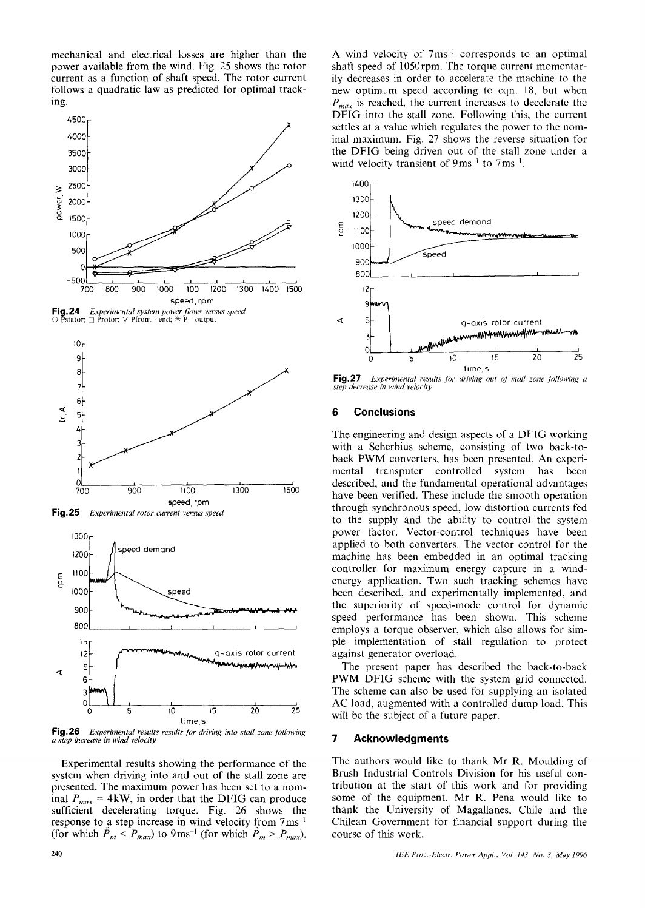mechanical and electrical losses are higher than the power available from the wind. Fig. 25 shows the rotor current as a function of shaft speed. The rotor current follows a quadratic law as predicted for optimal tracking.



**Fig. 24** Experimental system power flows versus speed  $\bigcirc$  Pstator;  $\bigcirc$  Protor;  $\bigtriangledown$  Pfront - end;  $*$  P - output







Fig.26 Experimental results results for driving into stall zone following a step increase in wind velocity

Experimental results showing the performance of the system when driving into and out of the stall zone are presented. The maximum power has been set to a nominal  $P_{max} = 4kW$ , in order that the DFIG can produce sufficient decelerating torque. Fig. 26 shows the response to a step increase in wind velocity from  $7 \text{ ms}^{-1}$ (for which  $P_m < P_{max}$ ) to 9ms<sup>-1</sup> (for which  $P_m > P_{max}$ ). A wind velocity of 7ms<sup>-1</sup> corresponds to an optimal shaft speed of 1050rpm. The torque current momentarily decreases in order to accelerate the machine to the new optimum speed according to eqn. 18, but when  $P_{max}$  is reached, the current increases to decelerate the DFIG into the stall zone. Following this, the current settles at a value which regulates the power to the nominal maximum. Fig. 27 shows the reverse situation for the DFIG being driven out of the stall zone under a wind velocity transient of  $9 \text{ms}^{-1}$  to  $7 \text{ms}^{-1}$ .



**Fig. 27** Experimental results for driving out of stall zone following a step decrease in wind velocity

#### $6\phantom{1}$ **Conclusions**

The engineering and design aspects of a DFIG working with a Scherbius scheme, consisting of two back-toback PWM converters, has been presented. An experimental transputer controlled system has been described, and the fundamental operational advantages have been verified. These include the smooth operation through synchronous speed, low distortion currents fed to the supply and the ability to control the system power factor. Vector-control techniques have been applied to both converters. The vector control for the machine has been embedded in an optimal tracking controller for maximum energy capture in a windenergy application. Two such tracking schemes have been described, and experimentally implemented, and the superiority of speed-mode control for dynamic speed performance has been shown. This scheme employs a torque observer, which also allows for simple implementation of stall regulation to protect against generator overload.

The present paper has described the back-to-back PWM DFIG scheme with the system grid connected. The scheme can also be used for supplying an isolated AC load, augmented with a controlled dump load. This will be the subject of a future paper.

#### $\overline{7}$ **Acknowledgments**

The authors would like to thank Mr R. Moulding of Brush Industrial Controls Division for his useful contribution at the start of this work and for providing some of the equipment. Mr R. Pena would like to thank the University of Magallanes, Chile and the Chilean Government for financial support during the course of this work.